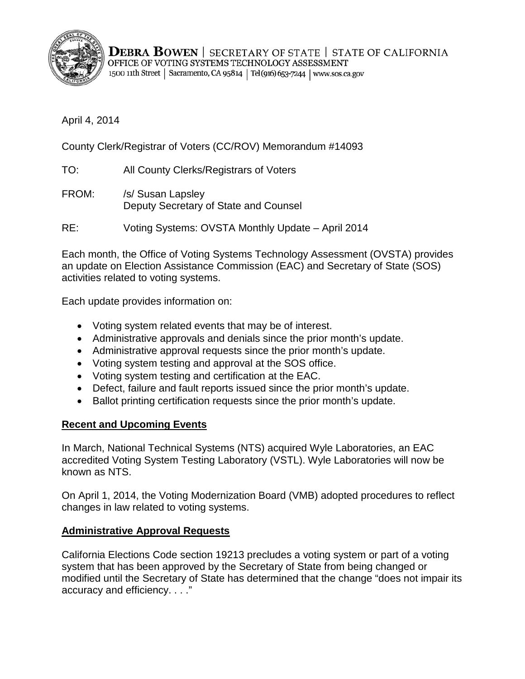

**DEBRA BOWEN** | SECRETARY OF STATE | STATE OF CALIFORNIA OFFICE OF VOTING SYSTEMS TECHNOLOGY ASSESSMENT 1500 11th Street | Sacramento, CA 95814 | Tel (916) 653-7244 | www.sos.ca.gov

April 4, 2014

County Clerk/Registrar of Voters (CC/ROV) Memorandum #14093

- TO: All County Clerks/Registrars of Voters
- FROM: /s/ Susan Lapsley Deputy Secretary of State and Counsel

RE: Voting Systems: OVSTA Monthly Update – April 2014

Each month, the Office of Voting Systems Technology Assessment (OVSTA) provides an update on Election Assistance Commission (EAC) and Secretary of State (SOS) activities related to voting systems.

Each update provides information on:

- Voting system related events that may be of interest.
- Administrative approvals and denials since the prior month's update.
- Administrative approval requests since the prior month's update.
- Voting system testing and approval at the SOS office.
- Voting system testing and certification at the EAC.
- Defect, failure and fault reports issued since the prior month's update.
- Ballot printing certification requests since the prior month's update.

### **Recent and Upcoming Events**

In March, National Technical Systems (NTS) acquired Wyle Laboratories, an EAC accredited Voting System Testing Laboratory (VSTL). Wyle Laboratories will now be known as NTS.

On April 1, 2014, the Voting Modernization Board (VMB) adopted procedures to reflect changes in law related to voting systems.

### **Administrative Approval Requests**

California Elections Code section 19213 precludes a voting system or part of a voting system that has been approved by the Secretary of State from being changed or modified until the Secretary of State has determined that the change "does not impair its accuracy and efficiency. . . ."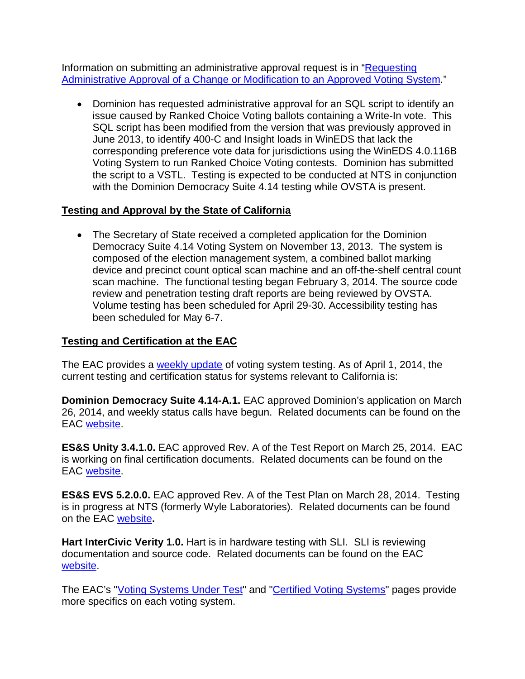Information on submitting an administrative approval request is in ["Requesting](http://www.sos.ca.gov/voting-systems/cert-and-approval/vsysapproval/admin-approval-requirements2012.pdf)  [Administrative Approval of a Change or Modification to an Approved Voting System.](http://www.sos.ca.gov/voting-systems/cert-and-approval/vsysapproval/admin-approval-requirements2012.pdf)"

• Dominion has requested administrative approval for an SQL script to identify an issue caused by Ranked Choice Voting ballots containing a Write-In vote. This SQL script has been modified from the version that was previously approved in June 2013, to identify 400-C and Insight loads in WinEDS that lack the corresponding preference vote data for jurisdictions using the WinEDS 4.0.116B Voting System to run Ranked Choice Voting contests. Dominion has submitted the script to a VSTL. Testing is expected to be conducted at NTS in conjunction with the Dominion Democracy Suite 4.14 testing while OVSTA is present.

## **Testing and Approval by the State of California**

• The Secretary of State received a completed application for the Dominion Democracy Suite 4.14 Voting System on November 13, 2013. The system is composed of the election management system, a combined ballot marking device and precinct count optical scan machine and an off-the-shelf central count scan machine. The functional testing began February 3, 2014. The source code review and penetration testing draft reports are being reviewed by OVSTA. Volume testing has been scheduled for April 29-30. Accessibility testing has been scheduled for May 6-7.

# **Testing and Certification at the EAC**

The EAC provides a [weekly update](http://www.eac.gov/blogs/voting_system_testing_update_4114/) of voting system testing. As of April 1, 2014, the current testing and certification status for systems relevant to California is:

**Dominion Democracy Suite 4.14-A.1.** EAC approved Dominion's application on March 26, 2014, and weekly status calls have begun. Related documents can be found on the EAC [website.](http://www.eac.gov/testing_and_certification/voting_systems_under_test.aspx)

**ES&S Unity 3.4.1.0.** EAC approved Rev. A of the Test Report on March 25, 2014. EAC is working on final certification documents. Related documents can be found on the EAC [website.](http://www.eac.gov/testing_and_certification/voting_systems_under_test.aspx)

**ES&S EVS 5.2.0.0.** EAC approved Rev. A of the Test Plan on March 28, 2014. Testing is in progress at NTS (formerly Wyle Laboratories). Related documents can be found on the EAC [website](http://www.eac.gov/testing_and_certification/voting_systems_under_test.aspx)**.**

**Hart InterCivic Verity 1.0.** Hart is in hardware testing with SLI. SLI is reviewing documentation and source code. Related documents can be found on the EAC [website.](http://www.eac.gov/testing_and_certification/voting_systems_under_test.aspx)

The EAC's ["Voting Systems Under Test"](http://www.eac.gov/testing_and_certification/voting_systems_under_test.aspx) and ["Certified Voting Systems"](http://www.eac.gov/testing_and_certification/certified_voting_systems.aspx) pages provide more specifics on each voting system.